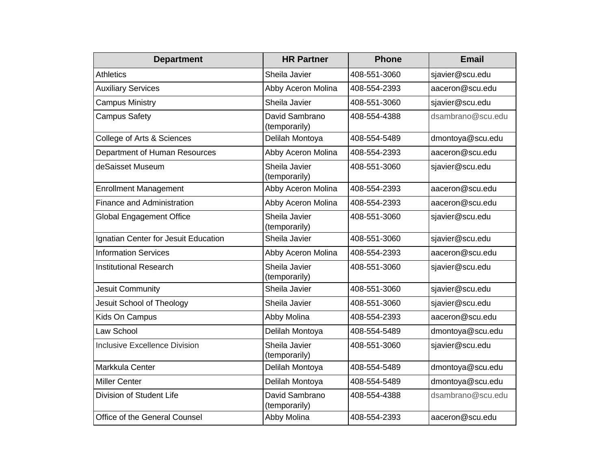| <b>Department</b>                    | <b>HR Partner</b>               | <b>Phone</b> | <b>Email</b>      |
|--------------------------------------|---------------------------------|--------------|-------------------|
| <b>Athletics</b>                     | Sheila Javier                   | 408-551-3060 | sjavier@scu.edu   |
| <b>Auxiliary Services</b>            | Abby Aceron Molina              | 408-554-2393 | aaceron@scu.edu   |
| <b>Campus Ministry</b>               | Sheila Javier                   | 408-551-3060 | sjavier@scu.edu   |
| <b>Campus Safety</b>                 | David Sambrano<br>(temporarily) | 408-554-4388 | dsambrano@scu.edu |
| College of Arts & Sciences           | Delilah Montoya                 | 408-554-5489 | dmontoya@scu.edu  |
| Department of Human Resources        | Abby Aceron Molina              | 408-554-2393 | aaceron@scu.edu   |
| deSaisset Museum                     | Sheila Javier<br>(temporarily)  | 408-551-3060 | sjavier@scu.edu   |
| <b>Enrollment Management</b>         | Abby Aceron Molina              | 408-554-2393 | aaceron@scu.edu   |
| <b>Finance and Administration</b>    | Abby Aceron Molina              | 408-554-2393 | aaceron@scu.edu   |
| Global Engagement Office             | Sheila Javier<br>(temporarily)  | 408-551-3060 | sjavier@scu.edu   |
| Ignatian Center for Jesuit Education | Sheila Javier                   | 408-551-3060 | sjavier@scu.edu   |
| <b>Information Services</b>          | Abby Aceron Molina              | 408-554-2393 | aaceron@scu.edu   |
| <b>Institutional Research</b>        | Sheila Javier<br>(temporarily)  | 408-551-3060 | sjavier@scu.edu   |
| Jesuit Community                     | Sheila Javier                   | 408-551-3060 | sjavier@scu.edu   |
| Jesuit School of Theology            | Sheila Javier                   | 408-551-3060 | sjavier@scu.edu   |
| Kids On Campus                       | Abby Molina                     | 408-554-2393 | aaceron@scu.edu   |
| Law School                           | Delilah Montoya                 | 408-554-5489 | dmontoya@scu.edu  |
| <b>Inclusive Excellence Division</b> | Sheila Javier<br>(temporarily)  | 408-551-3060 | sjavier@scu.edu   |
| Markkula Center                      | Delilah Montoya                 | 408-554-5489 | dmontoya@scu.edu  |
| <b>Miller Center</b>                 | Delilah Montoya                 | 408-554-5489 | dmontoya@scu.edu  |
| Division of Student Life             | David Sambrano<br>(temporarily) | 408-554-4388 | dsambrano@scu.edu |
| Office of the General Counsel        | Abby Molina                     | 408-554-2393 | aaceron@scu.edu   |